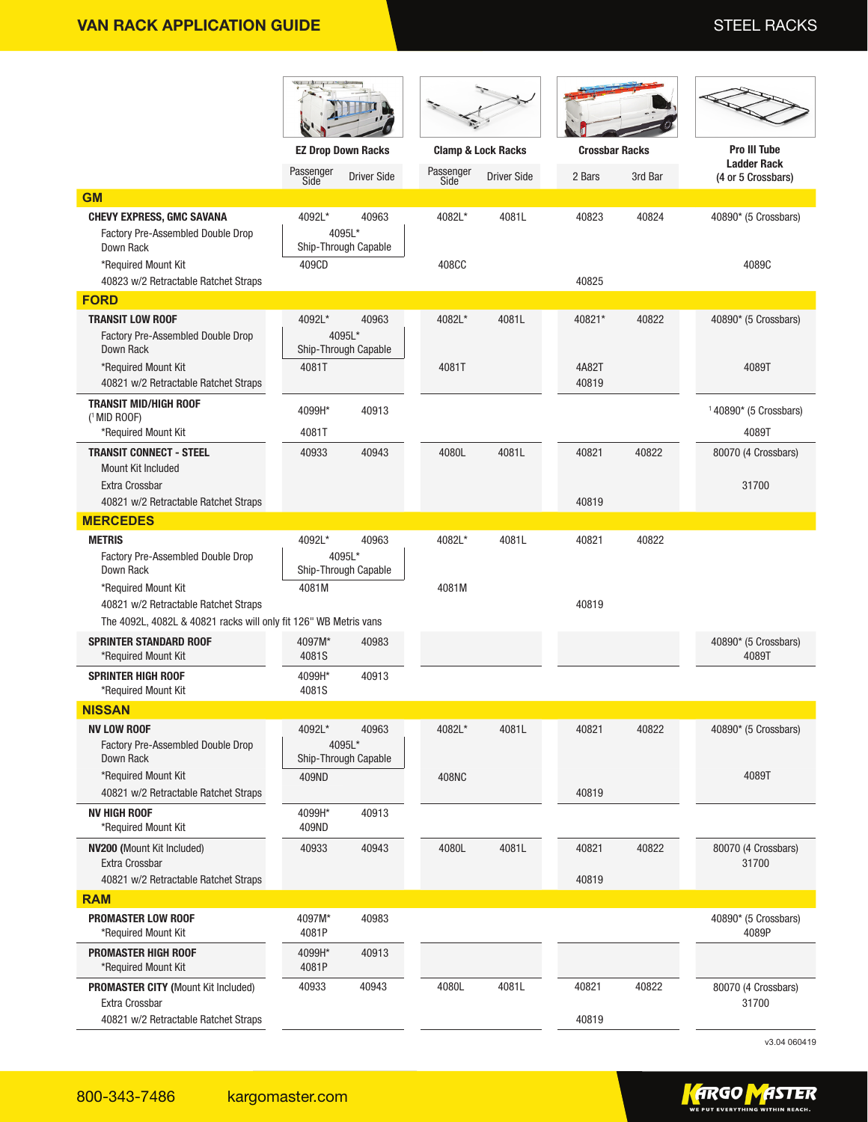|                                                                                                                                 | <b>EZ Drop Down Racks</b> |                                         | <b>Clamp &amp; Lock Racks</b> |                    | <b>Crossbar Racks</b> |         | <b>Pro III Tube</b>                      |
|---------------------------------------------------------------------------------------------------------------------------------|---------------------------|-----------------------------------------|-------------------------------|--------------------|-----------------------|---------|------------------------------------------|
|                                                                                                                                 | Passenger<br>Side         | <b>Driver Side</b>                      | Passenger<br>Side             | <b>Driver Side</b> | 2 Bars                | 3rd Bar | <b>Ladder Rack</b><br>(4 or 5 Crossbars) |
| <b>GM</b>                                                                                                                       |                           |                                         |                               |                    |                       |         |                                          |
| <b>CHEVY EXPRESS, GMC SAVANA</b><br>Factory Pre-Assembled Double Drop<br>Down Rack<br>*Required Mount Kit                       | 4092L*<br>409CD           | 40963<br>4095L*<br>Ship-Through Capable | 4082L*<br>408CC               | 4081L              | 40823                 | 40824   | 40890* (5 Crossbars)<br>4089C            |
| 40823 w/2 Retractable Ratchet Straps                                                                                            |                           |                                         |                               |                    | 40825                 |         |                                          |
| <b>FORD</b>                                                                                                                     |                           |                                         |                               |                    |                       |         |                                          |
| <b>TRANSIT LOW ROOF</b><br><b>Factory Pre-Assembled Double Drop</b><br>Down Rack                                                | 4092L*                    | 40963<br>4095L*<br>Ship-Through Capable | 4082L*                        | 4081L              | 40821*                | 40822   | 40890* (5 Crossbars)                     |
| *Required Mount Kit<br>40821 w/2 Retractable Ratchet Straps                                                                     | 4081T                     |                                         | 4081T                         |                    | 4A82T<br>40819        |         | 4089T                                    |
| <b>TRANSIT MID/HIGH ROOF</b><br>$(1$ MID ROOF)<br>*Required Mount Kit                                                           | 4099H*<br>4081T           | 40913                                   |                               |                    |                       |         | $140890*$ (5 Crossbars)<br>4089T         |
| <b>TRANSIT CONNECT - STEEL</b><br>Mount Kit Included<br>Extra Crossbar                                                          | 40933                     | 40943                                   | 4080L                         | 4081L              | 40821                 | 40822   | 80070 (4 Crossbars)<br>31700             |
| 40821 w/2 Retractable Ratchet Straps                                                                                            |                           |                                         |                               |                    | 40819                 |         |                                          |
| <b>MERCEDES</b>                                                                                                                 |                           |                                         |                               |                    |                       |         |                                          |
| <b>METRIS</b><br>Factory Pre-Assembled Double Drop<br>Down Rack                                                                 | 4092L*                    | 40963<br>4095L*<br>Ship-Through Capable | 4082L*                        | 4081L              | 40821                 | 40822   |                                          |
| *Required Mount Kit<br>40821 w/2 Retractable Ratchet Straps<br>The 4092L, 4082L & 40821 racks will only fit 126" WB Metris vans | 4081M                     |                                         | 4081M                         |                    | 40819                 |         |                                          |
| <b>SPRINTER STANDARD ROOF</b><br>*Required Mount Kit                                                                            | 4097M*<br>4081S           | 40983                                   |                               |                    |                       |         | 40890* (5 Crossbars)<br>4089T            |
| <b>SPRINTER HIGH ROOF</b><br>*Required Mount Kit                                                                                | 4099H*<br>4081S           | 40913                                   |                               |                    |                       |         |                                          |
| <b>NISSAN</b>                                                                                                                   |                           |                                         |                               |                    |                       |         |                                          |
| <b>NV LOW ROOF</b><br>Factory Pre-Assembled Double Drop<br>Down Rack                                                            | 4092L*                    | 40963<br>4095L*<br>Ship-Through Capable | 4082L*                        | 4081L              | 40821                 | 40822   | 40890* (5 Crossbars)                     |
| *Required Mount Kit<br>40821 w/2 Retractable Ratchet Straps                                                                     | 409ND                     |                                         | 408NC                         |                    | 40819                 |         | 4089T                                    |
| <b>NV HIGH ROOF</b><br>*Required Mount Kit                                                                                      | 4099H*<br>409ND           | 40913                                   |                               |                    |                       |         |                                          |
| NV200 (Mount Kit Included)<br>Extra Crossbar<br>40821 w/2 Retractable Ratchet Straps                                            | 40933                     | 40943                                   | 4080L                         | 4081L              | 40821<br>40819        | 40822   | 80070 (4 Crossbars)<br>31700             |
| <b>RAM</b>                                                                                                                      |                           |                                         |                               |                    |                       |         |                                          |
| <b>PROMASTER LOW ROOF</b><br>*Required Mount Kit                                                                                | 4097M*<br>4081P           | 40983                                   |                               |                    |                       |         | 40890* (5 Crossbars)<br>4089P            |
| <b>PROMASTER HIGH ROOF</b><br>*Required Mount Kit                                                                               | 4099H*<br>4081P           | 40913                                   |                               |                    |                       |         |                                          |
| <b>PROMASTER CITY (Mount Kit Included)</b><br>Extra Crossbar<br>40821 w/2 Retractable Ratchet Straps                            | 40933                     | 40943                                   | 4080L                         | 4081L              | 40821<br>40819        | 40822   | 80070 (4 Crossbars)<br>31700             |

v3.04 060419